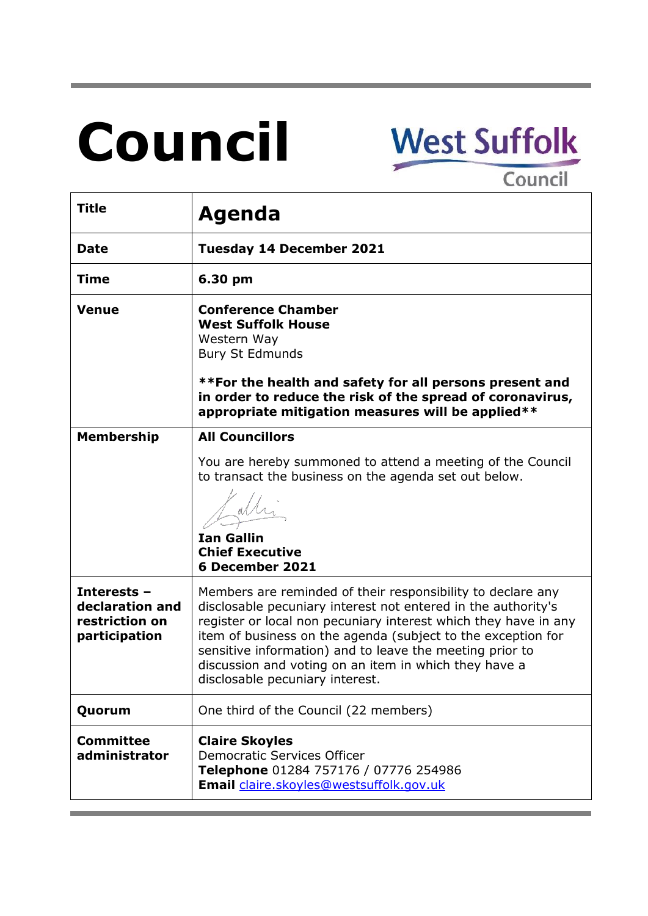# **Council**

# **West Suffolk**

Council

| <b>Title</b>                                                      | Agenda                                                                                                                                                                                                                                                                                                                                                                                                                  |
|-------------------------------------------------------------------|-------------------------------------------------------------------------------------------------------------------------------------------------------------------------------------------------------------------------------------------------------------------------------------------------------------------------------------------------------------------------------------------------------------------------|
| <b>Date</b>                                                       | <b>Tuesday 14 December 2021</b>                                                                                                                                                                                                                                                                                                                                                                                         |
| <b>Time</b>                                                       | 6.30 pm                                                                                                                                                                                                                                                                                                                                                                                                                 |
| <b>Venue</b>                                                      | <b>Conference Chamber</b><br><b>West Suffolk House</b><br>Western Way<br><b>Bury St Edmunds</b><br>**For the health and safety for all persons present and<br>in order to reduce the risk of the spread of coronavirus,<br>appropriate mitigation measures will be applied**                                                                                                                                            |
| <b>Membership</b>                                                 | <b>All Councillors</b>                                                                                                                                                                                                                                                                                                                                                                                                  |
|                                                                   | You are hereby summoned to attend a meeting of the Council<br>to transact the business on the agenda set out below.<br><b>Ian Gallin</b><br><b>Chief Executive</b><br>6 December 2021                                                                                                                                                                                                                                   |
| Interests -<br>declaration and<br>restriction on<br>participation | Members are reminded of their responsibility to declare any<br>disclosable pecuniary interest not entered in the authority's<br>register or local non pecuniary interest which they have in any<br>item of business on the agenda (subject to the exception for<br>sensitive information) and to leave the meeting prior to<br>discussion and voting on an item in which they have a<br>disclosable pecuniary interest. |
| Quorum                                                            | One third of the Council (22 members)                                                                                                                                                                                                                                                                                                                                                                                   |
| <b>Committee</b><br>administrator                                 | <b>Claire Skoyles</b><br>Democratic Services Officer<br>Telephone 01284 757176 / 07776 254986<br>Email claire.skoyles@westsuffolk.gov.uk                                                                                                                                                                                                                                                                                |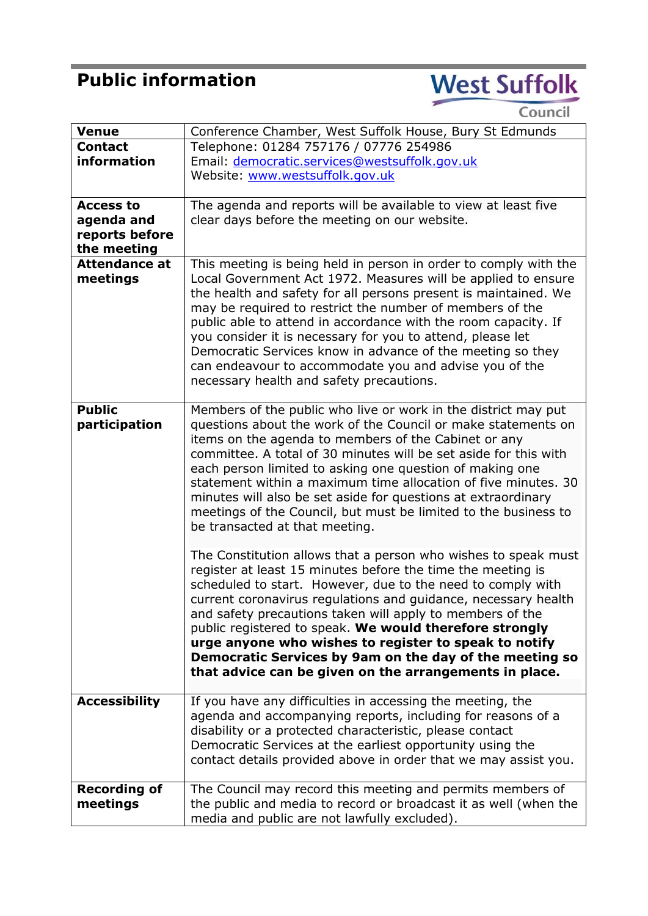# **Public information**

# **West Suffolk**

Council

| <b>Venue</b>         | Conference Chamber, West Suffolk House, Bury St Edmunds          |
|----------------------|------------------------------------------------------------------|
| <b>Contact</b>       | Telephone: 01284 757176 / 07776 254986                           |
| information          | Email: democratic.services@westsuffolk.gov.uk                    |
|                      | Website: www.westsuffolk.gov.uk                                  |
|                      |                                                                  |
| <b>Access to</b>     | The agenda and reports will be available to view at least five   |
| agenda and           | clear days before the meeting on our website.                    |
| reports before       |                                                                  |
| the meeting          |                                                                  |
| <b>Attendance at</b> | This meeting is being held in person in order to comply with the |
| meetings             | Local Government Act 1972. Measures will be applied to ensure    |
|                      | the health and safety for all persons present is maintained. We  |
|                      | may be required to restrict the number of members of the         |
|                      | public able to attend in accordance with the room capacity. If   |
|                      |                                                                  |
|                      | you consider it is necessary for you to attend, please let       |
|                      | Democratic Services know in advance of the meeting so they       |
|                      | can endeavour to accommodate you and advise you of the           |
|                      | necessary health and safety precautions.                         |
|                      |                                                                  |
| <b>Public</b>        | Members of the public who live or work in the district may put   |
| participation        | questions about the work of the Council or make statements on    |
|                      | items on the agenda to members of the Cabinet or any             |
|                      | committee. A total of 30 minutes will be set aside for this with |
|                      | each person limited to asking one question of making one         |
|                      | statement within a maximum time allocation of five minutes. 30   |
|                      | minutes will also be set aside for questions at extraordinary    |
|                      | meetings of the Council, but must be limited to the business to  |
|                      | be transacted at that meeting.                                   |
|                      |                                                                  |
|                      | The Constitution allows that a person who wishes to speak must   |
|                      | register at least 15 minutes before the time the meeting is      |
|                      | scheduled to start. However, due to the need to comply with      |
|                      | current coronavirus regulations and guidance, necessary health   |
|                      | and safety precautions taken will apply to members of the        |
|                      | public registered to speak. We would therefore strongly          |
|                      | urge anyone who wishes to register to speak to notify            |
|                      | Democratic Services by 9am on the day of the meeting so          |
|                      | that advice can be given on the arrangements in place.           |
|                      |                                                                  |
| <b>Accessibility</b> | If you have any difficulties in accessing the meeting, the       |
|                      |                                                                  |
|                      | agenda and accompanying reports, including for reasons of a      |
|                      | disability or a protected characteristic, please contact         |
|                      | Democratic Services at the earliest opportunity using the        |
|                      | contact details provided above in order that we may assist you.  |
|                      |                                                                  |
| <b>Recording of</b>  | The Council may record this meeting and permits members of       |
| meetings             | the public and media to record or broadcast it as well (when the |
|                      | media and public are not lawfully excluded).                     |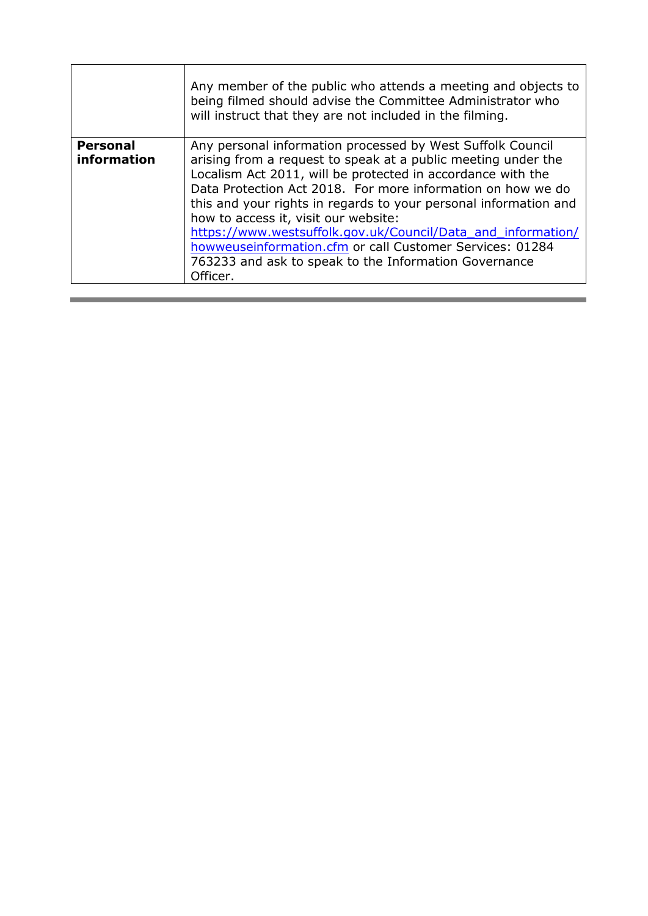|                                | Any member of the public who attends a meeting and objects to<br>being filmed should advise the Committee Administrator who<br>will instruct that they are not included in the filming.                                                                                                                                                                                                                                                                                                                                                                                |
|--------------------------------|------------------------------------------------------------------------------------------------------------------------------------------------------------------------------------------------------------------------------------------------------------------------------------------------------------------------------------------------------------------------------------------------------------------------------------------------------------------------------------------------------------------------------------------------------------------------|
| <b>Personal</b><br>information | Any personal information processed by West Suffolk Council<br>arising from a request to speak at a public meeting under the<br>Localism Act 2011, will be protected in accordance with the<br>Data Protection Act 2018. For more information on how we do<br>this and your rights in regards to your personal information and<br>how to access it, visit our website:<br>https://www.westsuffolk.gov.uk/Council/Data and information/<br>howweuseinformation.cfm or call Customer Services: 01284<br>763233 and ask to speak to the Information Governance<br>Officer. |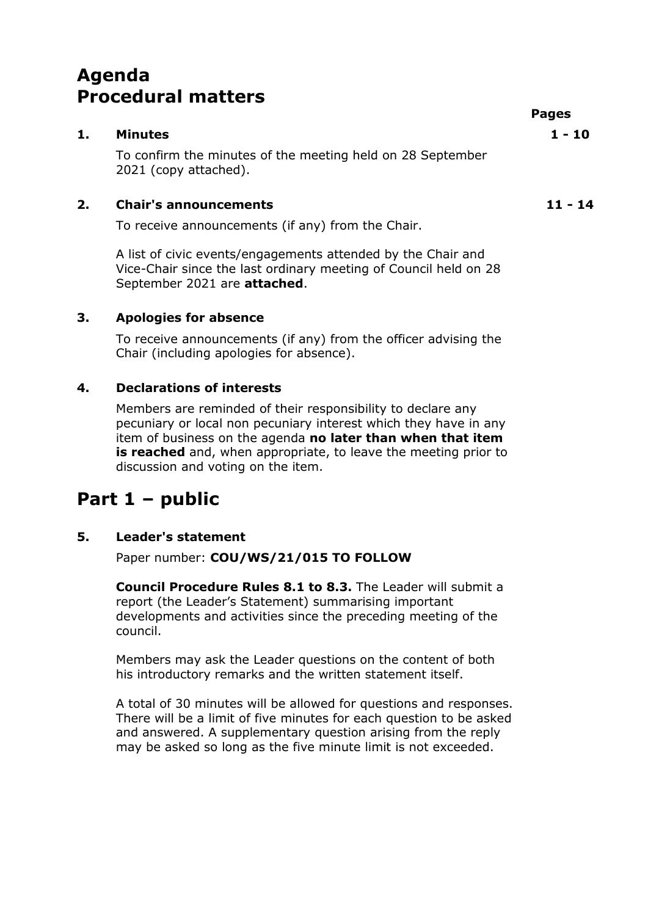# **Agenda Procedural matters**

# **1. Minutes 1 - 10** To confirm the minutes of the meeting held on 28 September 2021 (copy attached).

### **2. Chair's announcements 11 - 14**

To receive announcements (if any) from the Chair.

A list of civic events/engagements attended by the Chair and Vice-Chair since the last ordinary meeting of Council held on 28 September 2021 are **attached**.

#### **3. Apologies for absence**

To receive announcements (if any) from the officer advising the Chair (including apologies for absence).

## **4. Declarations of interests**

Members are reminded of their responsibility to declare any pecuniary or local non pecuniary interest which they have in any item of business on the agenda **no later than when that item is reached** and, when appropriate, to leave the meeting prior to discussion and voting on the item.

# **Part 1 – public**

#### **5. Leader's statement**

Paper number: **COU/WS/21/015 TO FOLLOW**

**Council Procedure Rules 8.1 to 8.3.** The Leader will submit a report (the Leader's Statement) summarising important developments and activities since the preceding meeting of the council.

Members may ask the Leader questions on the content of both his introductory remarks and the written statement itself.

A total of 30 minutes will be allowed for questions and responses. There will be a limit of five minutes for each question to be asked and answered. A supplementary question arising from the reply may be asked so long as the five minute limit is not exceeded.

**Pages**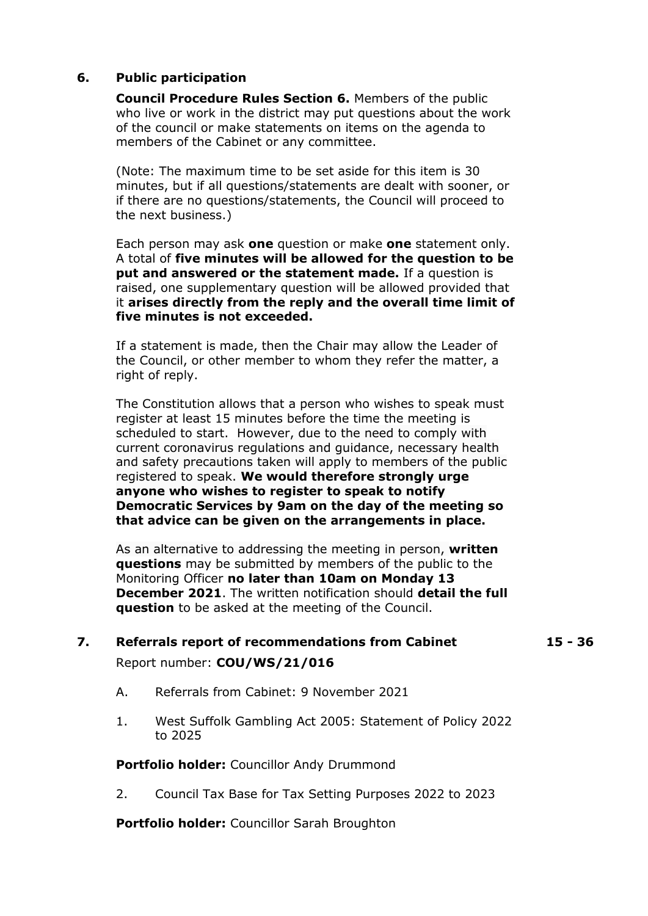#### **6. Public participation**

**Council Procedure Rules Section 6.** Members of the public who live or work in the district may put questions about the work of the council or make statements on items on the agenda to members of the Cabinet or any committee.

(Note: The maximum time to be set aside for this item is 30 minutes, but if all questions/statements are dealt with sooner, or if there are no questions/statements, the Council will proceed to the next business.)

Each person may ask **one** question or make **one** statement only. A total of **five minutes will be allowed for the question to be put and answered or the statement made.** If a question is raised, one supplementary question will be allowed provided that it **arises directly from the reply and the overall time limit of five minutes is not exceeded.** 

If a statement is made, then the Chair may allow the Leader of the Council, or other member to whom they refer the matter, a right of reply.

The Constitution allows that a person who wishes to speak must register at least 15 minutes before the time the meeting is scheduled to start. However, due to the need to comply with current coronavirus regulations and guidance, necessary health and safety precautions taken will apply to members of the public registered to speak. **We would therefore strongly urge anyone who wishes to register to speak to notify Democratic Services by 9am on the day of the meeting so that advice can be given on the arrangements in place.**

As an alternative to addressing the meeting in person, **written questions** may be submitted by members of the public to the Monitoring Officer **no later than 10am on Monday 13 December 2021**. The written notification should **detail the full question** to be asked at the meeting of the Council.

# **7. Referrals report of recommendations from Cabinet 15 - 36** Report number: **COU/WS/21/016**

A. Referrals from Cabinet: 9 November 2021

1. West Suffolk Gambling Act 2005: Statement of Policy 2022 to 2025

**Portfolio holder:** Councillor Andy Drummond

2. Council Tax Base for Tax Setting Purposes 2022 to 2023

**Portfolio holder:** Councillor Sarah Broughton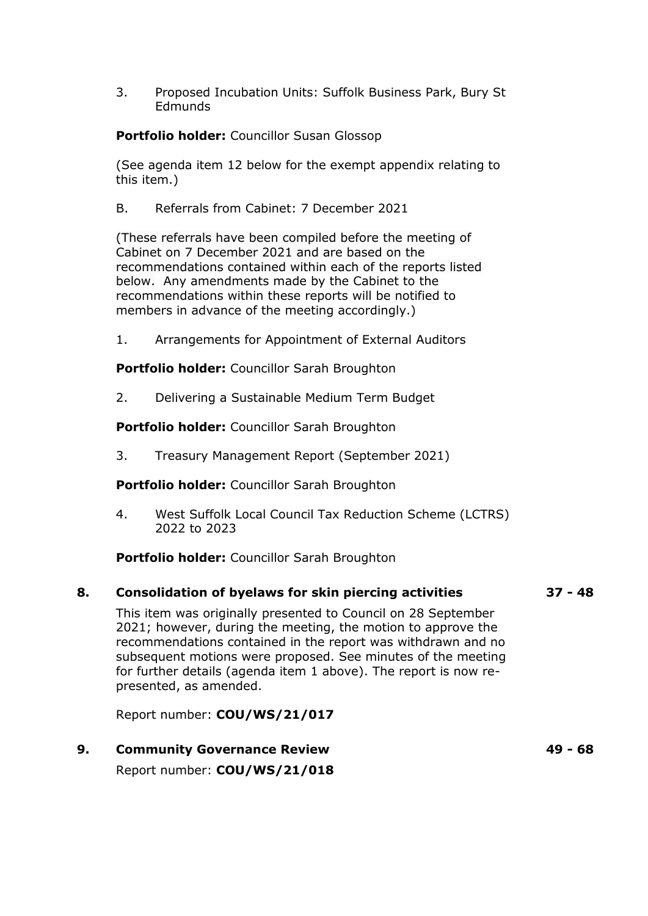3. Proposed Incubation Units: Suffolk Business Park, Bury St **Edmunds** 

**Portfolio holder:** Councillor Susan Glossop

(See agenda item 12 below for the exempt appendix relating to this item.)

B. Referrals from Cabinet: 7 December 2021

(These referrals have been compiled before the meeting of Cabinet on 7 December 2021 and are based on the recommendations contained within each of the reports listed below. Any amendments made by the Cabinet to the recommendations within these reports will be notified to members in advance of the meeting accordingly.)

1. Arrangements for Appointment of External Auditors

**Portfolio holder:** Councillor Sarah Broughton

2. Delivering a Sustainable Medium Term Budget

**Portfolio holder:** Councillor Sarah Broughton

3. Treasury Management Report (September 2021)

**Portfolio holder:** Councillor Sarah Broughton

4. West Suffolk Local Council Tax Reduction Scheme (LCTRS) 2022 to 2023

**Portfolio holder:** Councillor Sarah Broughton

#### **8. Consolidation of byelaws for skin piercing activities 37 - 48**

This item was originally presented to Council on 28 September 2021; however, during the meeting, the motion to approve the recommendations contained in the report was withdrawn and no subsequent motions were proposed. See minutes of the meeting for further details (agenda item 1 above). The report is now represented, as amended.

Report number: **COU/WS/21/017**

**9. Community Governance Review 49 - 68** Report number: **COU/WS/21/018**